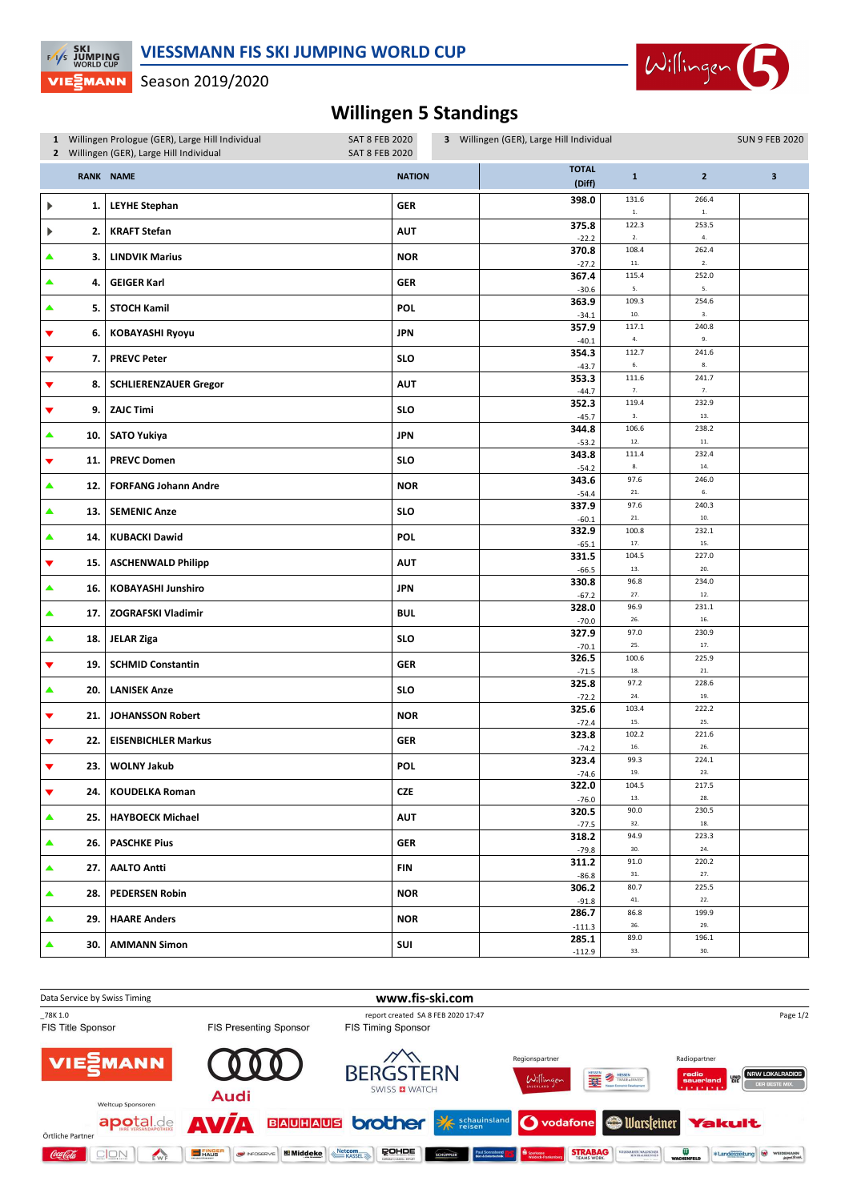

## **VIE** MANN Season 2019/2020

**EXECUTE SKI**<br>EXP JUMPING<br>WORLD CUP

## **Willingen 5 Standings**

|                      |     | 1 Willingen Prologue (GER), Large Hill Individual<br>2 Willingen (GER), Large Hill Individual | <b>SAT 8 FEB 2020</b><br><b>SAT 8 FEB 2020</b> | 3 Willingen (GER), Large Hill Individual |                     |                     | <b>SUN 9 FEB 2020</b> |
|----------------------|-----|-----------------------------------------------------------------------------------------------|------------------------------------------------|------------------------------------------|---------------------|---------------------|-----------------------|
|                      |     | RANK NAME                                                                                     | <b>NATION</b>                                  | <b>TOTAL</b><br>(Diff)                   | ${\bf 1}$           | $\overline{2}$      | 3                     |
| ▶                    | 1.  | <b>LEYHE Stephan</b>                                                                          | GER                                            | 398.0                                    | 131.6<br>${\bf 1}.$ | 266.4<br>${\bf 1}.$ |                       |
|                      | 2.  | <b>KRAFT Stefan</b>                                                                           | <b>AUT</b>                                     | 375.8<br>$-22.2$                         | 122.3<br>$2. \,$    | 253.5<br>4.         |                       |
|                      | 3.  | <b>LINDVIK Marius</b>                                                                         | <b>NOR</b>                                     | 370.8                                    | 108.4<br>$11.$      | 262.4<br>2.         |                       |
| ▲                    | 4.  | <b>GEIGER Karl</b>                                                                            | <b>GER</b>                                     | $-27.2$<br>367.4                         | 115.4               | 252.0               |                       |
| ▲                    | 5.  | <b>STOCH Kamil</b>                                                                            | <b>POL</b>                                     | $-30.6$<br>363.9                         | 5.<br>109.3         | 5.<br>254.6         |                       |
|                      |     |                                                                                               |                                                | $-34.1$<br>357.9                         | 10.<br>117.1        | 3.<br>240.8         |                       |
| ▼                    | 6.  | <b>KOBAYASHI Ryoyu</b>                                                                        | <b>JPN</b>                                     | $-40.1$<br>354.3                         | $\bf 4.$<br>112.7   | 9.<br>241.6         |                       |
| ▼                    | 7.  | <b>PREVC Peter</b>                                                                            | <b>SLO</b>                                     | $-43.7$                                  | 6.                  | 8.                  |                       |
| ▼                    | 8.  | <b>SCHLIERENZAUER Gregor</b>                                                                  | <b>AUT</b>                                     | 353.3<br>$-44.7$                         | 111.6<br>7.         | 241.7<br>7.         |                       |
| ▼                    | 9.  | <b>ZAJC Timi</b>                                                                              | <b>SLO</b>                                     | 352.3                                    | 119.4<br>3.         | 232.9<br>13.        |                       |
| ▲                    | 10. | <b>SATO Yukiya</b>                                                                            | <b>JPN</b>                                     | $-45.7$<br>344.8                         | 106.6               | 238.2               |                       |
|                      |     |                                                                                               |                                                | $-53.2$<br>343.8                         | 12.<br>111.4        | $11.$<br>232.4      |                       |
| ▼                    | 11. | <b>PREVC Domen</b>                                                                            | <b>SLO</b>                                     | $-54.2$                                  | 8.                  | 14.                 |                       |
| ▲                    | 12. | <b>FORFANG Johann Andre</b>                                                                   | <b>NOR</b>                                     | 343.6<br>$-54.4$                         | 97.6<br>$21. \,$    | 246.0<br>6.         |                       |
| ▲                    | 13. | <b>SEMENIC Anze</b>                                                                           | <b>SLO</b>                                     | 337.9                                    | 97.6                | 240.3               |                       |
| ▲                    | 14. | <b>KUBACKI Dawid</b>                                                                          | <b>POL</b>                                     | $-60.1$<br>332.9                         | 21.<br>100.8        | 10.<br>232.1        |                       |
|                      |     |                                                                                               |                                                | $-65.1$<br>331.5                         | 17.<br>104.5        | 15.<br>227.0        |                       |
| $\blacktriangledown$ | 15. | <b>ASCHENWALD Philipp</b>                                                                     | <b>AUT</b>                                     | -66.5                                    | 13.                 | 20.                 |                       |
| ▲                    | 16. | <b>KOBAYASHI Junshiro</b>                                                                     | <b>JPN</b>                                     | 330.8<br>$-67.2$                         | 96.8<br>27.         | 234.0<br>12.        |                       |
| ▲                    | 17. | <b>ZOGRAFSKI Vladimir</b>                                                                     | <b>BUL</b>                                     | 328.0                                    | 96.9                | 231.1               |                       |
|                      |     |                                                                                               |                                                | $-70.0$<br>327.9                         | 26.<br>97.0         | 16.<br>230.9        |                       |
| ▲                    | 18. | <b>JELAR Ziga</b>                                                                             | <b>SLO</b>                                     | $-70.1$                                  | 25.                 | 17.                 |                       |
| ▼                    | 19. | <b>SCHMID Constantin</b>                                                                      | <b>GER</b>                                     | 326.5<br>$-71.5$                         | 100.6<br>18.        | 225.9<br>21.        |                       |
| ▲                    | 20. | <b>LANISEK Anze</b>                                                                           | <b>SLO</b>                                     | 325.8                                    | 97.2<br>24.         | 228.6<br>19.        |                       |
| ▼                    | 21. | <b>JOHANSSON Robert</b>                                                                       | <b>NOR</b>                                     | $-72.2$<br>325.6                         | 103.4               | 222.2               |                       |
|                      |     |                                                                                               |                                                | $-72.4$<br>323.8                         | 15.<br>102.2        | 25.<br>221.6        |                       |
| ▼                    | 22. | <b>EISENBICHLER Markus</b>                                                                    | GER                                            | $-74.2$                                  | 16.                 | 26.                 |                       |
| ▼                    | 23. | <b>WOLNY Jakub</b>                                                                            | POL                                            | 323.4<br>$-74.6$                         | 99.3<br>19.         | 224.1<br>23.        |                       |
| $\blacktriangledown$ | 24. | <b>KOUDELKA Roman</b>                                                                         | CZE                                            | 322.0                                    | 104.5               | 217.5               |                       |
| $\blacktriangle$     |     | <b>HAYBOECK Michael</b>                                                                       | <b>AUT</b>                                     | $-76.0$<br>320.5                         | 13.<br>90.0         | 28.<br>230.5        |                       |
|                      | 25. |                                                                                               |                                                | $-77.5$<br>318.2                         | 32.<br>94.9         | 18.<br>223.3        |                       |
| ▲                    | 26. | <b>PASCHKE Pius</b>                                                                           | <b>GER</b>                                     | $-79.8$                                  | 30.                 | 24.                 |                       |
| $\blacktriangle$     | 27. | <b>AALTO Antti</b>                                                                            | FIN                                            | 311.2<br>$-86.8$                         | 91.0<br>$31. \,$    | 220.2<br>27.        |                       |
| ▲                    | 28. | <b>PEDERSEN Robin</b>                                                                         | <b>NOR</b>                                     | 306.2                                    | 80.7                | 225.5               |                       |
|                      |     |                                                                                               |                                                | $-91.8$<br>286.7                         | 41.<br>86.8         | 22.<br>199.9        |                       |
| ▲                    | 29. | <b>HAARE Anders</b>                                                                           | <b>NOR</b>                                     | $-111.3$                                 | 36.                 | 29.                 |                       |
|                      | 30. | <b>AMMANN Simon</b>                                                                           | SUI                                            | 285.1<br>$-112.9$                        | 89.0<br>33.         | 196.1<br>30.        |                       |